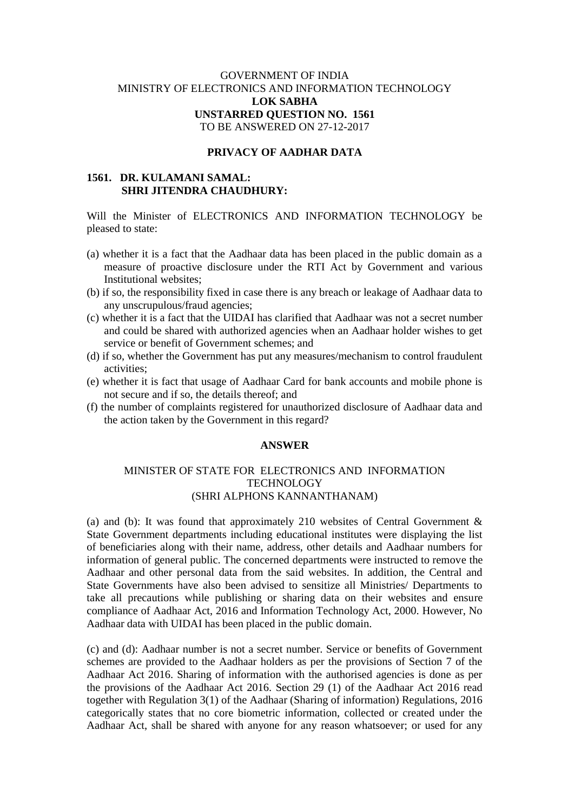## GOVERNMENT OF INDIA MINISTRY OF ELECTRONICS AND INFORMATION TECHNOLOGY **LOK SABHA UNSTARRED QUESTION NO. 1561** TO BE ANSWERED ON 27-12-2017

## **PRIVACY OF AADHAR DATA**

# **1561. DR. KULAMANI SAMAL: SHRI JITENDRA CHAUDHURY:**

Will the Minister of ELECTRONICS AND INFORMATION TECHNOLOGY be pleased to state:

- (a) whether it is a fact that the Aadhaar data has been placed in the public domain as a measure of proactive disclosure under the RTI Act by Government and various Institutional websites;
- (b) if so, the responsibility fixed in case there is any breach or leakage of Aadhaar data to any unscrupulous/fraud agencies;
- (c) whether it is a fact that the UIDAI has clarified that Aadhaar was not a secret number and could be shared with authorized agencies when an Aadhaar holder wishes to get service or benefit of Government schemes; and
- (d) if so, whether the Government has put any measures/mechanism to control fraudulent activities;
- (e) whether it is fact that usage of Aadhaar Card for bank accounts and mobile phone is not secure and if so, the details thereof; and
- (f) the number of complaints registered for unauthorized disclosure of Aadhaar data and the action taken by the Government in this regard?

#### **ANSWER**

### MINISTER OF STATE FOR ELECTRONICS AND INFORMATION **TECHNOLOGY** (SHRI ALPHONS KANNANTHANAM)

(a) and (b): It was found that approximately 210 websites of Central Government & State Government departments including educational institutes were displaying the list of beneficiaries along with their name, address, other details and Aadhaar numbers for information of general public. The concerned departments were instructed to remove the Aadhaar and other personal data from the said websites. In addition, the Central and State Governments have also been advised to sensitize all Ministries/ Departments to take all precautions while publishing or sharing data on their websites and ensure compliance of Aadhaar Act, 2016 and Information Technology Act, 2000. However, No Aadhaar data with UIDAI has been placed in the public domain.

(c) and (d): Aadhaar number is not a secret number. Service or benefits of Government schemes are provided to the Aadhaar holders as per the provisions of Section 7 of the Aadhaar Act 2016. Sharing of information with the authorised agencies is done as per the provisions of the Aadhaar Act 2016. Section 29 (1) of the Aadhaar Act 2016 read together with Regulation 3(1) of the Aadhaar (Sharing of information) Regulations, 2016 categorically states that no core biometric information, collected or created under the Aadhaar Act, shall be shared with anyone for any reason whatsoever; or used for any